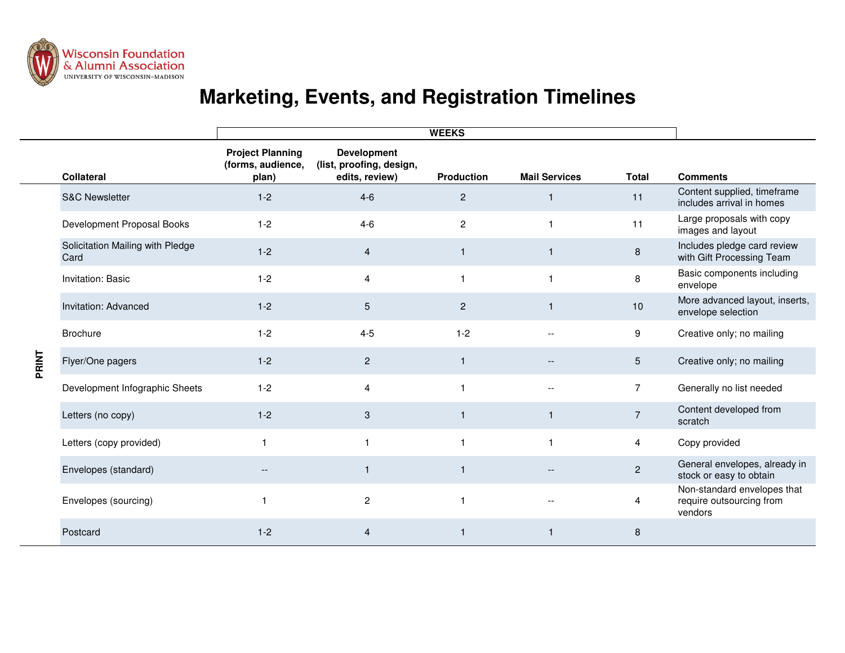

## **Marketing, Events, and Registration Timelines**

|       |                                          | <b>WEEKS</b>                                          |                                                                  |                   |                          |                |                                                                    |
|-------|------------------------------------------|-------------------------------------------------------|------------------------------------------------------------------|-------------------|--------------------------|----------------|--------------------------------------------------------------------|
|       | <b>Collateral</b>                        | <b>Project Planning</b><br>(forms, audience,<br>plan) | <b>Development</b><br>(list, proofing, design,<br>edits, review) | <b>Production</b> | <b>Mail Services</b>     | <b>Total</b>   | <b>Comments</b>                                                    |
| PRINT | <b>S&amp;C Newsletter</b>                | $1 - 2$                                               | $4-6$                                                            | $\overline{2}$    | 1                        | 11             | Content supplied, timeframe<br>includes arrival in homes           |
|       | Development Proposal Books               | $1 - 2$                                               | $4-6$                                                            | $\mathbf{2}$      | 1                        | 11             | Large proposals with copy<br>images and layout                     |
|       | Solicitation Mailing with Pledge<br>Card | $1 - 2$                                               | $\overline{4}$                                                   | $\mathbf{1}$      | 1                        | 8              | Includes pledge card review<br>with Gift Processing Team           |
|       | Invitation: Basic                        | $1 - 2$                                               | $\overline{4}$                                                   | $\overline{1}$    | $\blacktriangleleft$     | 8              | Basic components including<br>envelope                             |
|       | Invitation: Advanced                     | $1 - 2$                                               | $5\phantom{.}$                                                   | $\mathbf{2}$      | -1                       | 10             | More advanced layout, inserts,<br>envelope selection               |
|       | <b>Brochure</b>                          | $1 - 2$                                               | $4 - 5$                                                          | $1 - 2$           | $-$                      | 9              | Creative only; no mailing                                          |
|       | Flyer/One pagers                         | $1 - 2$                                               | $\overline{2}$                                                   | $\overline{1}$    |                          | 5              | Creative only; no mailing                                          |
|       | Development Infographic Sheets           | $1 - 2$                                               | $\overline{4}$                                                   | $\overline{1}$    | $\overline{\phantom{a}}$ | $\overline{7}$ | Generally no list needed                                           |
|       | Letters (no copy)                        | $1 - 2$                                               | 3                                                                | $\overline{1}$    | 1                        | $\overline{7}$ | Content developed from<br>scratch                                  |
|       | Letters (copy provided)                  | $\mathbf{1}$                                          | $\overline{1}$                                                   | $\overline{1}$    | 1                        | 4              | Copy provided                                                      |
|       | Envelopes (standard)                     | --                                                    | $\overline{1}$                                                   | $\overline{1}$    |                          | $\overline{c}$ | General envelopes, already in<br>stock or easy to obtain           |
|       | Envelopes (sourcing)                     | $\overline{\mathbf{1}}$                               | $\overline{c}$                                                   | -1                |                          | 4              | Non-standard envelopes that<br>require outsourcing from<br>vendors |
|       | Postcard                                 | $1 - 2$                                               | $\overline{4}$                                                   | $\overline{1}$    | 1                        | 8              |                                                                    |